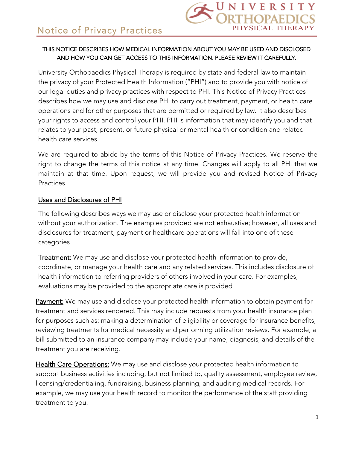### THIS NOTICE DESCRIBES HOW MEDICAL INFORMATION ABOUT YOU MAY BE USED AND DISCLOSED AND HOW YOU CAN GET ACCESS TO THIS INFORMATION. PLEASE REVIEW IT CAREFULLY.

University Orthopaedics Physical Therapy is required by state and federal law to maintain the privacy of your Protected Health Information ("PHI") and to provide you with notice of our legal duties and privacy practices with respect to PHI. This Notice of Privacy Practices describes how we may use and disclose PHI to carry out treatment, payment, or health care operations and for other purposes that are permitted or required by law. It also describes your rights to access and control your PHI. PHI is information that may identify you and that relates to your past, present, or future physical or mental health or condition and related health care services.

We are required to abide by the terms of this Notice of Privacy Practices. We reserve the right to change the terms of this notice at any time. Changes will apply to all PHI that we maintain at that time. Upon request, we will provide you and revised Notice of Privacy Practices.

#### Uses and Disclosures of PHI

The following describes ways we may use or disclose your protected health information without your authorization. The examples provided are not exhaustive; however, all uses and disclosures for treatment, payment or healthcare operations will fall into one of these categories.

Treatment: We may use and disclose your protected health information to provide, coordinate, or manage your health care and any related services. This includes disclosure of health information to referring providers of others involved in your care. For examples, evaluations may be provided to the appropriate care is provided.

Payment: We may use and disclose your protected health information to obtain payment for treatment and services rendered. This may include requests from your health insurance plan for purposes such as: making a determination of eligibility or coverage for insurance benefits, reviewing treatments for medical necessity and performing utilization reviews. For example, a bill submitted to an insurance company may include your name, diagnosis, and details of the treatment you are receiving.

Health Care Operations: We may use and disclose your protected health information to support business activities including, but not limited to, quality assessment, employee review, licensing/credentialing, fundraising, business planning, and auditing medical records. For example, we may use your health record to monitor the performance of the staff providing treatment to you.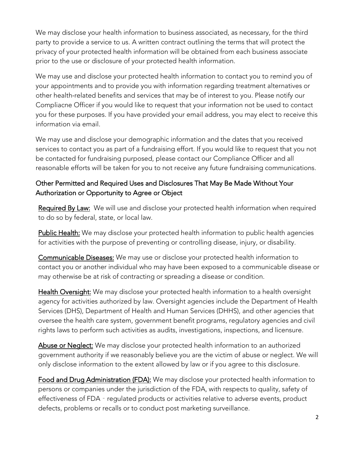We may disclose your health information to business associated, as necessary, for the third party to provide a service to us. A written contract outlining the terms that will protect the privacy of your protected health information will be obtained from each business associate prior to the use or disclosure of your protected health information.

We may use and disclose your protected health information to contact you to remind you of your appointments and to provide you with information regarding treatment alternatives or other health‐related benefits and services that may be of interest to you. Please notify our Compliacne Officer if you would like to request that your information not be used to contact you for these purposes. If you have provided your email address, you may elect to receive this information via email.

We may use and disclose your demographic information and the dates that you received services to contact you as part of a fundraising effort. If you would like to request that you not be contacted for fundraising purposed, please contact our Compliance Officer and all reasonable efforts will be taken for you to not receive any future fundraising communications.

# Other Permitted and Required Uses and Disclosures That May Be Made Without Your Authorization or Opportunity to Agree or Object

Required By Law: We will use and disclose your protected health information when required to do so by federal, state, or local law.

Public Health: We may disclose your protected health information to public health agencies for activities with the purpose of preventing or controlling disease, injury, or disability.

Communicable Diseases: We may use or disclose your protected health information to contact you or another individual who may have been exposed to a communicable disease or may otherwise be at risk of contracting or spreading a disease or condition.

Health Oversight: We may disclose your protected health information to a health oversight agency for activities authorized by law. Oversight agencies include the Department of Health Services (DHS), Department of Health and Human Services (DHHS), and other agencies that oversee the health care system, government benefit programs, regulatory agencies and civil rights laws to perform such activities as audits, investigations, inspections, and licensure.

Abuse or Neglect: We may disclose your protected health information to an authorized government authority if we reasonably believe you are the victim of abuse or neglect. We will only disclose information to the extent allowed by law or if you agree to this disclosure.

Food and Drug Administration (FDA): We may disclose your protected health information to persons or companies under the jurisdiction of the FDA, with respects to quality, safety of effectiveness of FDA - regulated products or activities relative to adverse events, product defects, problems or recalls or to conduct post marketing surveillance.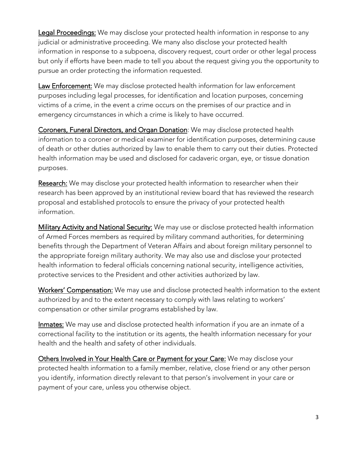Legal Proceedings: We may disclose your protected health information in response to any judicial or administrative proceeding. We many also disclose your protected health information in response to a subpoena, discovery request, court order or other legal process but only if efforts have been made to tell you about the request giving you the opportunity to pursue an order protecting the information requested.

Law Enforcement: We may disclose protected health information for law enforcement purposes including legal processes, for identification and location purposes, concerning victims of a crime, in the event a crime occurs on the premises of our practice and in emergency circumstances in which a crime is likely to have occurred.

Coroners, Funeral Directors, and Organ Donation: We may disclose protected health information to a coroner or medical examiner for identification purposes, determining cause of death or other duties authorized by law to enable them to carry out their duties. Protected health information may be used and disclosed for cadaveric organ, eye, or tissue donation purposes.

Research: We may disclose your protected health information to researcher when their research has been approved by an institutional review board that has reviewed the research proposal and established protocols to ensure the privacy of your protected health information.

Military Activity and National Security: We may use or disclose protected health information of Armed Forces members as required by military command authorities, for determining benefits through the Department of Veteran Affairs and about foreign military personnel to the appropriate foreign military authority. We may also use and disclose your protected health information to federal officials concerning national security, intelligence activities, protective services to the President and other activities authorized by law.

Workers' Compensation: We may use and disclose protected health information to the extent authorized by and to the extent necessary to comply with laws relating to workers' compensation or other similar programs established by law.

Inmates: We may use and disclose protected health information if you are an inmate of a correctional facility to the institution or its agents, the health information necessary for your health and the health and safety of other individuals.

Others Involved in Your Health Care or Payment for your Care: We may disclose your protected health information to a family member, relative, close friend or any other person you identify, information directly relevant to that person's involvement in your care or payment of your care, unless you otherwise object.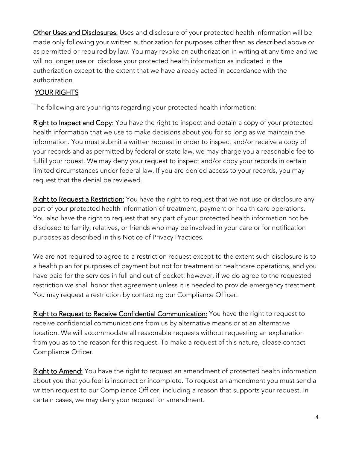Other Uses and Disclosures: Uses and disclosure of your protected health information will be made only following your written authorization for purposes other than as described above or as permitted or required by law. You may revoke an authorization in writing at any time and we will no longer use or disclose your protected health information as indicated in the authorization except to the extent that we have already acted in accordance with the authorization.

## YOUR RIGHTS

The following are your rights regarding your protected health information:

Right to Inspect and Copy: You have the right to inspect and obtain a copy of your protected health information that we use to make decisions about you for so long as we maintain the information. You must submit a written request in order to inspect and/or receive a copy of your records and as permitted by federal or state law, we may charge you a reasonable fee to fulfill your rquest. We may deny your request to inspect and/or copy your records in certain limited circumstances under federal law. If you are denied access to your records, you may request that the denial be reviewed.

Right to Request a Restriction: You have the right to request that we not use or disclosure any part of your protected health information of treatment, payment or health care operations. You also have the right to request that any part of your protected health information not be disclosed to family, relatives, or friends who may be involved in your care or for notification purposes as described in this Notice of Privacy Practices.

We are not required to agree to a restriction request except to the extent such disclosure is to a health plan for purposes of payment but not for treatment or healthcare operations, and you have paid for the services in full and out of pocket: however, if we do agree to the requested restriction we shall honor that agreement unless it is needed to provide emergency treatment. You may request a restriction by contacting our Compliance Officer.

Right to Request to Receive Confidential Communication: You have the right to request to receive confidential communications from us by alternative means or at an alternative location. We will accommodate all reasonable requests without requesting an explanation from you as to the reason for this request. To make a request of this nature, please contact Compliance Officer.

Right to Amend: You have the right to request an amendment of protected health information about you that you feel is incorrect or incomplete. To request an amendment you must send a written request to our Compliance Officer, including a reason that supports your request. In certain cases, we may deny your request for amendment.